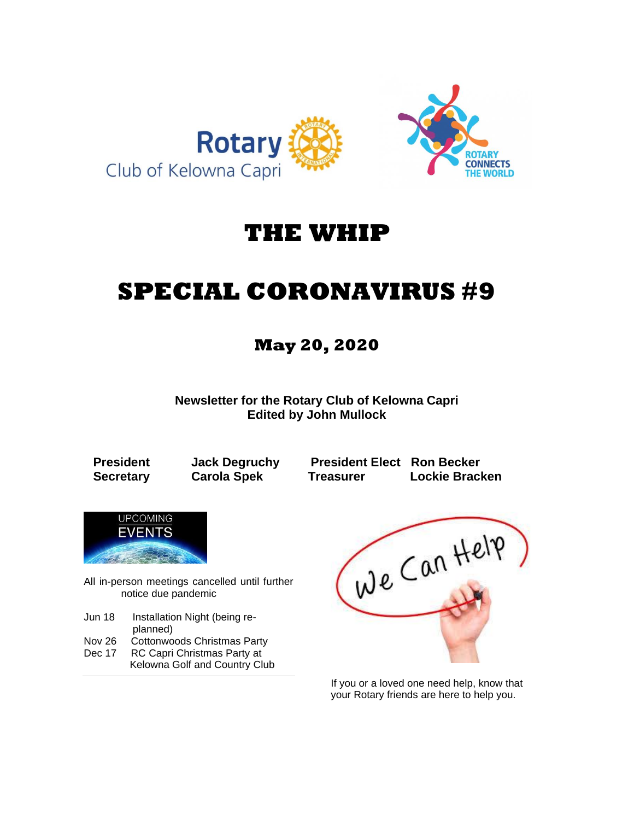

## **THE WHIP**

# **SPECIAL CORONAVIRUS #9**

### **May 20, 2020**

**Newsletter for the Rotary Club of Kelowna Capri Edited by John Mullock**

**President Jack Degruchy President Elect Ron Becker Secretary Carola Spek Treasurer Lockie Bracken**



All in-person meetings cancelled until further notice due pandemic

Jun 18 Installation Night (being re-

- planned)<br>Nov 26 Cottonwo Cottonwoods Christmas Party
- Dec 17 RC Capri Christmas Party at Kelowna Golf and Country Club



If you or a loved one need help, know that your Rotary friends are here to help you.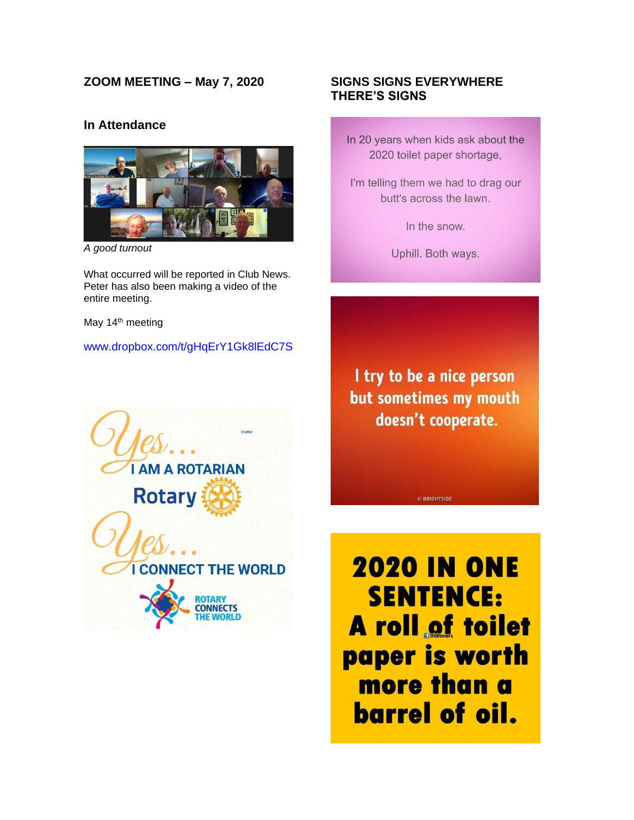#### **ZOOM MEETING – May 7, 2020**

#### **In Attendance**



*A good turnout*

What occurred will be reported in Club News. Peter has also been making a video of the entire meeting.

May 14<sup>th</sup> meeting

#### [www.dropbox.com/t/gHqErY1Gk8lEdC7S](http://www.dropbox.com/t/gHqErY1Gk8lEdC7S)

#### **SIGNS SIGNS EVERYWHERE THERE'S SIGNS**

In 20 years when kids ask about the 2020 toilet paper shortage,

I'm telling them we had to drag our butt's across the lawn.

In the snow.

Uphill. Both ways.

I try to be a nice person but sometimes my mouth doesn't cooperate.

© BRIGHTSIDE



**2020 IN ONE SENTENCE: A roll of toilet** paper is worth more than a **barrel of oil.**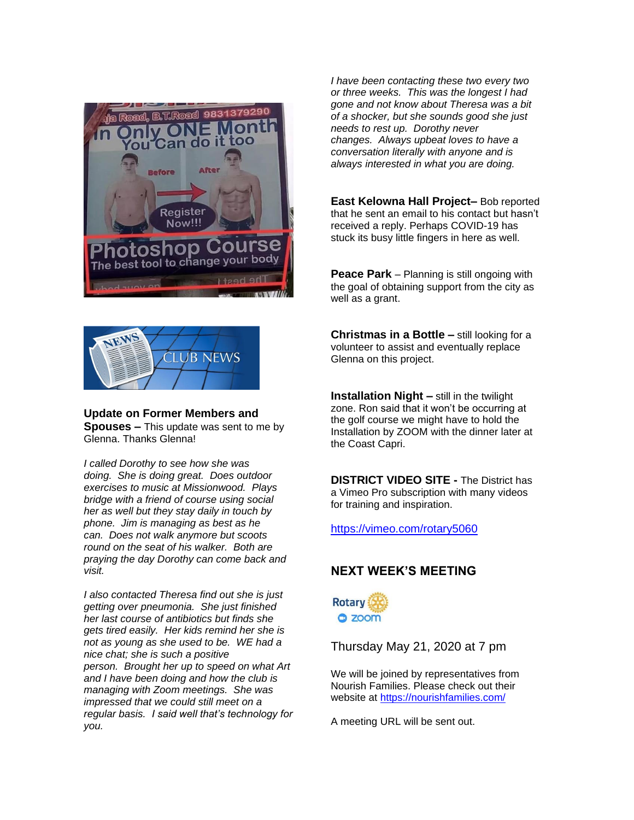



**Update on Former Members and Spouses –** This update was sent to me by Glenna. Thanks Glenna!

*I called Dorothy to see how she was doing. She is doing great. Does outdoor exercises to music at Missionwood. Plays bridge with a friend of course using social her as well but they stay daily in touch by phone. Jim is managing as best as he can. Does not walk anymore but scoots round on the seat of his walker. Both are praying the day Dorothy can come back and visit.*

*I also contacted Theresa find out she is just getting over pneumonia. She just finished her last course of antibiotics but finds she gets tired easily. Her kids remind her she is not as young as she used to be. WE had a nice chat; she is such a positive person. Brought her up to speed on what Art and I have been doing and how the club is managing with Zoom meetings. She was impressed that we could still meet on a regular basis. I said well that's technology for you.*

*I have been contacting these two every two or three weeks. This was the longest I had gone and not know about Theresa was a bit of a shocker, but she sounds good she just needs to rest up. Dorothy never changes. Always upbeat loves to have a conversation literally with anyone and is always interested in what you are doing.*

**East Kelowna Hall Project–** Bob reported that he sent an email to his contact but hasn't received a reply. Perhaps COVID-19 has stuck its busy little fingers in here as well.

**Peace Park** – Planning is still ongoing with the goal of obtaining support from the city as well as a grant.

**Christmas in a Bottle –** still looking for a volunteer to assist and eventually replace Glenna on this project.

**Installation Night –** still in the twilight zone. Ron said that it won't be occurring at the golf course we might have to hold the Installation by ZOOM with the dinner later at the Coast Capri.

**DISTRICT VIDEO SITE -** The District has a Vimeo Pro subscription with many videos for training and inspiration.

<https://vimeo.com/rotary5060>

#### **NEXT WEEK'S MEETING**



Thursday May 21, 2020 at 7 pm

We will be joined by representatives from Nourish Families. Please check out their website at<https://nourishfamilies.com/>

A meeting URL will be sent out.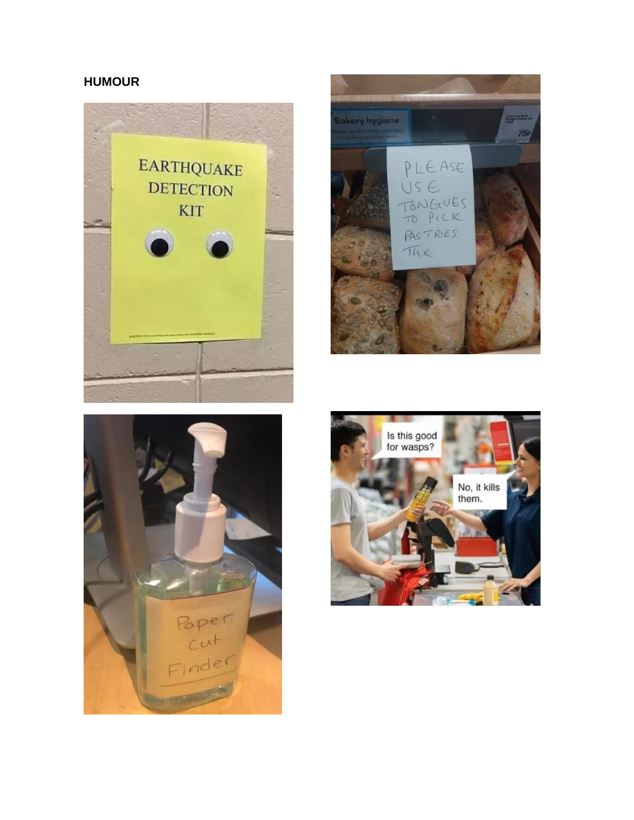#### **HUMOUR**







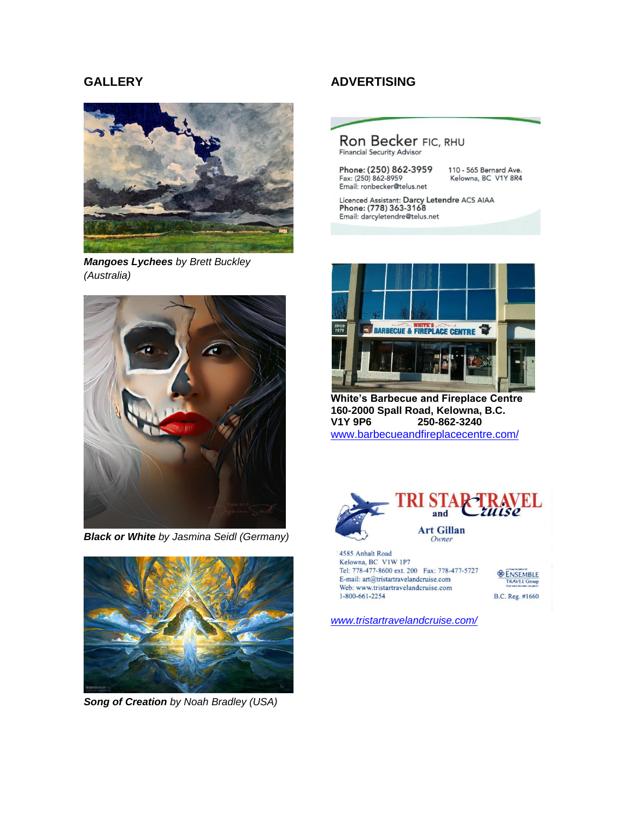#### **GALLERY**



*Mangoes Lychees by Brett Buckley (Australia)*



*Black or White by Jasmina Seidl (Germany)*



*Song of Creation by Noah Bradley (USA)*

#### **ADVERTISING**



Email: ronbecker@telus.net

Kelowna, BC V1Y 8R4

Licenced Assistant: Darcy Letendre ACS AIAA<br>Phone: (778) 363-3168 Email: darcyletendre@telus.net



**White's Barbecue and Fireplace Centre 160-2000 Spall Road, Kelowna, B.C. V1Y 9P6 250-862-3240** [www.barbecueandfireplacecentre.com/](http://www.barbecueandfireplacecentre.com/)



4585 Anhalt Road Kelowna, BC V1W 1P7 Tel: 778-477-8600 ext. 200 Fax: 778-477-5727 E-mail: art@tristartravelandcruise.com Web: www.tristartravelandcruise.com 1-800-661-2254



*[www.tristartravelandcruise.com/](http://www.tristartravelandcruise.com/)*